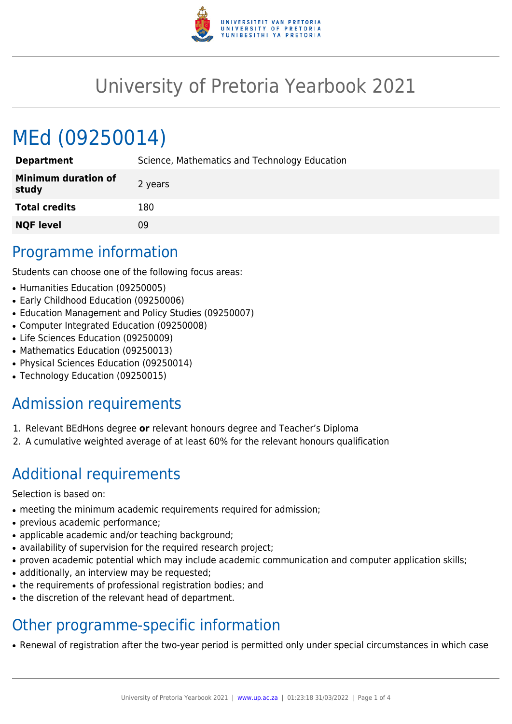

## University of Pretoria Yearbook 2021

# MEd (09250014)

| <b>Department</b>                   | Science, Mathematics and Technology Education |
|-------------------------------------|-----------------------------------------------|
| <b>Minimum duration of</b><br>study | 2 years                                       |
| <b>Total credits</b>                | 180                                           |
| <b>NQF level</b>                    | 09                                            |

#### Programme information

Students can choose one of the following focus areas:

- Humanities Education (09250005)
- Early Childhood Education (09250006)
- Education Management and Policy Studies (09250007)
- Computer Integrated Education (09250008)
- Life Sciences Education (09250009)
- Mathematics Education (09250013)
- Physical Sciences Education (09250014)
- Technology Education (09250015)

### Admission requirements

- 1. Relevant BEdHons degree **or** relevant honours degree and Teacher's Diploma
- 2. A cumulative weighted average of at least 60% for the relevant honours qualification

### Additional requirements

Selection is based on:

- meeting the minimum academic requirements required for admission;
- previous academic performance;
- applicable academic and/or teaching background;
- availability of supervision for the required research project;
- proven academic potential which may include academic communication and computer application skills;
- additionally, an interview may be requested;
- the requirements of professional registration bodies; and
- the discretion of the relevant head of department.

### Other programme-specific information

• Renewal of registration after the two-year period is permitted only under special circumstances in which case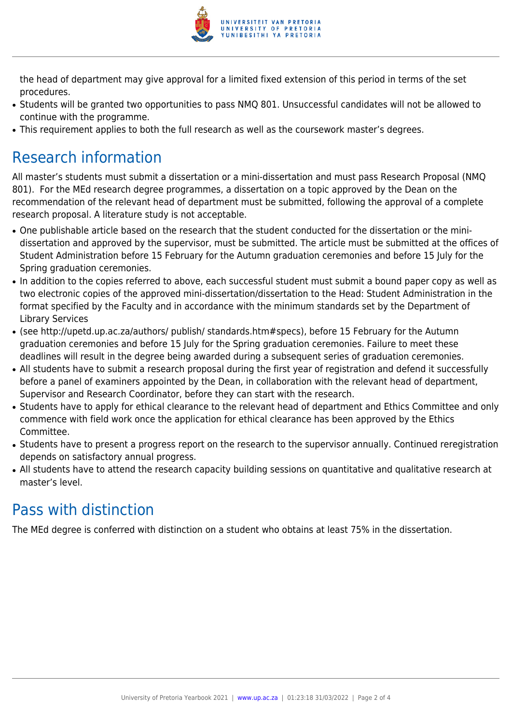

the head of department may give approval for a limited fixed extension of this period in terms of the set procedures.

- Students will be granted two opportunities to pass NMQ 801. Unsuccessful candidates will not be allowed to continue with the programme.
- This requirement applies to both the full research as well as the coursework master's degrees.

#### Research information

All master's students must submit a dissertation or a mini-dissertation and must pass Research Proposal (NMQ 801). For the MEd research degree programmes, a dissertation on a topic approved by the Dean on the recommendation of the relevant head of department must be submitted, following the approval of a complete research proposal. A literature study is not acceptable.

- One publishable article based on the research that the student conducted for the dissertation or the minidissertation and approved by the supervisor, must be submitted. The article must be submitted at the offices of Student Administration before 15 February for the Autumn graduation ceremonies and before 15 July for the Spring graduation ceremonies.
- In addition to the copies referred to above, each successful student must submit a bound paper copy as well as two electronic copies of the approved mini-dissertation/dissertation to the Head: Student Administration in the format specified by the Faculty and in accordance with the minimum standards set by the Department of Library Services
- (see http://upetd.up.ac.za/authors/ publish/ standards.htm#specs), before 15 February for the Autumn graduation ceremonies and before 15 July for the Spring graduation ceremonies. Failure to meet these deadlines will result in the degree being awarded during a subsequent series of graduation ceremonies.
- All students have to submit a research proposal during the first year of registration and defend it successfully before a panel of examiners appointed by the Dean, in collaboration with the relevant head of department, Supervisor and Research Coordinator, before they can start with the research.
- Students have to apply for ethical clearance to the relevant head of department and Ethics Committee and only commence with field work once the application for ethical clearance has been approved by the Ethics Committee.
- Students have to present a progress report on the research to the supervisor annually. Continued reregistration depends on satisfactory annual progress.
- All students have to attend the research capacity building sessions on quantitative and qualitative research at master's level.

### Pass with distinction

The MEd degree is conferred with distinction on a student who obtains at least 75% in the dissertation.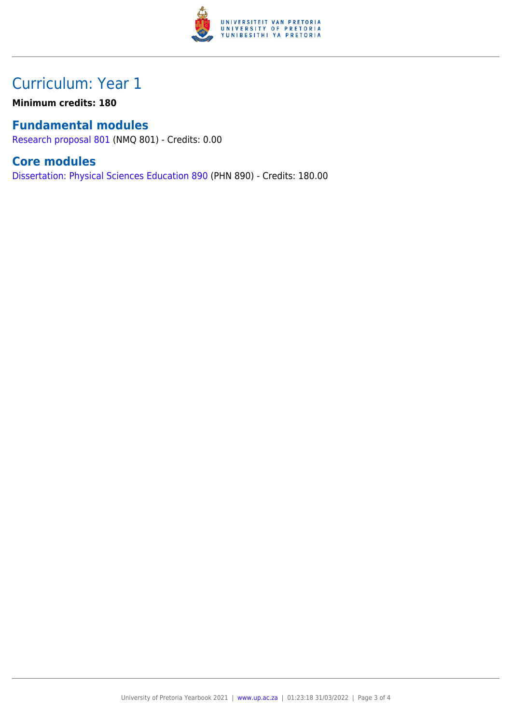

#### Curriculum: Year 1

**Minimum credits: 180**

#### **Fundamental modules**

[Research proposal 801](https://www.up.ac.za/yearbooks/2021/modules/view/NMQ 801) (NMQ 801) - Credits: 0.00

#### **Core modules**

[Dissertation: Physical Sciences Education 890](https://www.up.ac.za/yearbooks/2021/modules/view/PHN 890) (PHN 890) - Credits: 180.00